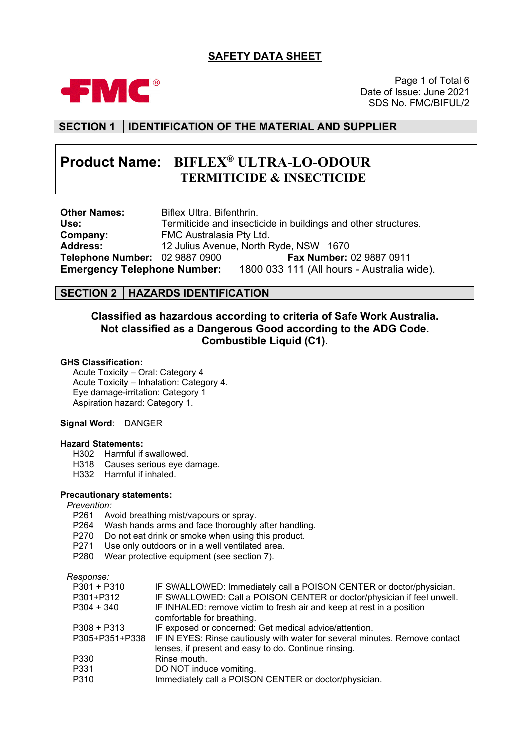# **SAFETY DATA SHEET**



Page 1 of Total 6 Date of Issue: June 2021 SDS No. FMC/BIFUL/2

# **SECTION 1 IDENTIFICATION OF THE MATERIAL AND SUPPLIER**

# **Product Name: BIFLEX® ULTRA-LO-ODOUR TERMITICIDE & INSECTICIDE**

**Other Names:** Biflex Ultra. Bifenthrin.<br> **Use:** Termiticide and insecti-**Use:** Termiticide and insecticide in buildings and other structures. **Company:** FMC Australasia Pty Ltd.<br>**Address:** 12 Julius Avenue, North F **Address:** 12 Julius Avenue, North Ryde, NSW 1670 **Telephone Number: 02 9887 0900<br><b>Emergency Telephone Number: Emergency Telephone Number:** 1800 033 111 (All hours - Australia wide).

### **SECTION 2 HAZARDS IDENTIFICATION**

# **Classified as hazardous according to criteria of Safe Work Australia. Not classified as a Dangerous Good according to the ADG Code. Combustible Liquid (C1).**

#### **GHS Classification:**

Acute Toxicity – Oral: Category 4 Acute Toxicity – Inhalation: Category 4. Eye damage-irritation: Category 1 Aspiration hazard: Category 1.

#### **Signal Word**: DANGER

#### **Hazard Statements:**

- H<sub>302</sub> Harmful if swallowed.<br>H<sub>318</sub> Causes serious eve d
- Causes serious eye damage.
- H332 Harmful if inhaled.
- **Precautionary statements:**

#### *Prevention:*

- P261 Avoid breathing mist/vapours or spray.<br>P264 Wash hands arms and face thoroughly
- Wash hands arms and face thoroughly after handling.
- P270 Do not eat drink or smoke when using this product.
- P271 Use only outdoors or in a well ventilated area.
- P280 Wear protective equipment (see section 7).

#### *Response:*

| $P301 + P310$  | IF SWALLOWED: Immediately call a POISON CENTER or doctor/physician.         |
|----------------|-----------------------------------------------------------------------------|
| P301+P312      | IF SWALLOWED: Call a POISON CENTER or doctor/physician if feel unwell.      |
| $P304 + 340$   | IF INHALED: remove victim to fresh air and keep at rest in a position       |
|                | comfortable for breathing.                                                  |
| $P308 + P313$  | IF exposed or concerned: Get medical advice/attention.                      |
| P305+P351+P338 | IF IN EYES: Rinse cautiously with water for several minutes. Remove contact |
|                | lenses, if present and easy to do. Continue rinsing.                        |
| P330           | Rinse mouth.                                                                |
| P331           | DO NOT induce vomiting.                                                     |
| P310           | Immediately call a POISON CENTER or doctor/physician.                       |
|                |                                                                             |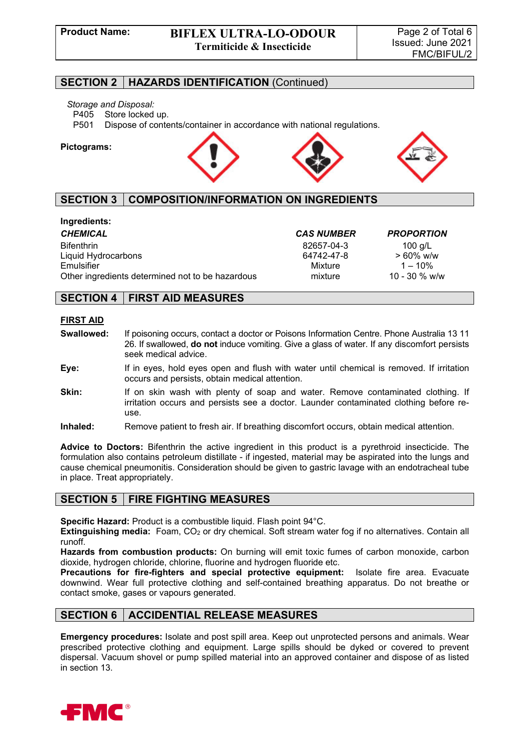#### **SECTION 2 HAZARDS IDENTIFICATION** (Continued)

# *Storage and Disposal:*

P405 Store locked up.<br>P501 Dispose of conte

Dispose of contents/container in accordance with national regulations.

#### **Pictograms:**



# **SECTION 3 COMPOSITION/INFORMATION ON INGREDIENTS**

| Ingredients:                                     |                   |                   |
|--------------------------------------------------|-------------------|-------------------|
| <b>CHEMICAL</b>                                  | <b>CAS NUMBER</b> | <b>PROPORTION</b> |
| <b>Bifenthrin</b>                                | 82657-04-3        | 100 g/L           |
| Liquid Hydrocarbons                              | 64742-47-8        | $> 60\%$ w/w      |
| Emulsifier                                       | Mixture           | $1 - 10\%$        |
| Other ingredients determined not to be hazardous | mixture           | 10 - 30 $%$ w/w   |

### **SECTION 4 FIRST AID MEASURES**

#### **FIRST AID**

- **Swallowed:** If poisoning occurs, contact a doctor or Poisons Information Centre. Phone Australia 13 11 26. If swallowed, **do not** induce vomiting. Give a glass of water. If any discomfort persists seek medical advice.
- **Eye:** If in eyes, hold eyes open and flush with water until chemical is removed. If irritation occurs and persists, obtain medical attention.
- **Skin:** If on skin wash with plenty of soap and water. Remove contaminated clothing. If irritation occurs and persists see a doctor. Launder contaminated clothing before reuse.
- **Inhaled:** Remove patient to fresh air. If breathing discomfort occurs, obtain medical attention.

**Advice to Doctors:** Bifenthrin the active ingredient in this product is a pyrethroid insecticide. The formulation also contains petroleum distillate - if ingested, material may be aspirated into the lungs and cause chemical pneumonitis. Consideration should be given to gastric lavage with an endotracheal tube in place. Treat appropriately.

#### **SECTION 5 FIRE FIGHTING MEASURES**

**Specific Hazard:** Product is a combustible liquid. Flash point 94°C.

**Extinguishing media:** Foam, CO<sub>2</sub> or dry chemical. Soft stream water fog if no alternatives. Contain all runoff.

**Hazards from combustion products:** On burning will emit toxic fumes of carbon monoxide, carbon dioxide, hydrogen chloride, chlorine, fluorine and hydrogen fluoride etc.

**Precautions for fire-fighters and special protective equipment:** Isolate fire area. Evacuate downwind. Wear full protective clothing and self-contained breathing apparatus. Do not breathe or contact smoke, gases or vapours generated.

#### **SECTION 6 ACCIDENTIAL RELEASE MEASURES**

**Emergency procedures:** Isolate and post spill area. Keep out unprotected persons and animals. Wear prescribed protective clothing and equipment. Large spills should be dyked or covered to prevent dispersal. Vacuum shovel or pump spilled material into an approved container and dispose of as listed in section 13.

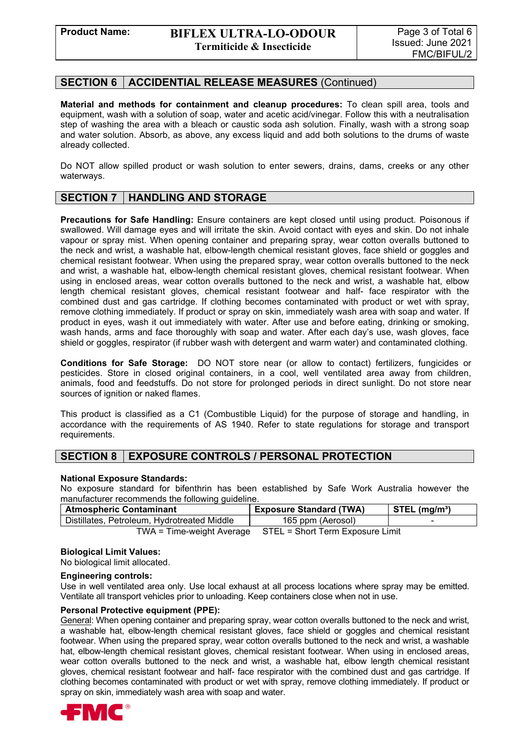### **SECTION 6 ACCIDENTIAL RELEASE MEASURES** (Continued)

**Material and methods for containment and cleanup procedures:** To clean spill area, tools and equipment, wash with a solution of soap, water and acetic acid/vinegar. Follow this with a neutralisation step of washing the area with a bleach or caustic soda ash solution. Finally, wash with a strong soap and water solution. Absorb, as above, any excess liquid and add both solutions to the drums of waste already collected.

Do NOT allow spilled product or wash solution to enter sewers, drains, dams, creeks or any other waterways.

### **SECTION 7 HANDLING AND STORAGE**

**Precautions for Safe Handling:** Ensure containers are kept closed until using product. Poisonous if swallowed. Will damage eyes and will irritate the skin. Avoid contact with eyes and skin. Do not inhale vapour or spray mist. When opening container and preparing spray, wear cotton overalls buttoned to the neck and wrist, a washable hat, elbow-length chemical resistant gloves, face shield or goggles and chemical resistant footwear. When using the prepared spray, wear cotton overalls buttoned to the neck and wrist, a washable hat, elbow-length chemical resistant gloves, chemical resistant footwear. When using in enclosed areas, wear cotton overalls buttoned to the neck and wrist, a washable hat, elbow length chemical resistant gloves, chemical resistant footwear and half- face respirator with the combined dust and gas cartridge. If clothing becomes contaminated with product or wet with spray, remove clothing immediately. If product or spray on skin, immediately wash area with soap and water. If product in eyes, wash it out immediately with water. After use and before eating, drinking or smoking, wash hands, arms and face thoroughly with soap and water. After each day's use, wash gloves, face shield or goggles, respirator (if rubber wash with detergent and warm water) and contaminated clothing.

**Conditions for Safe Storage:** DO NOT store near (or allow to contact) fertilizers, fungicides or pesticides. Store in closed original containers, in a cool, well ventilated area away from children, animals, food and feedstuffs. Do not store for prolonged periods in direct sunlight. Do not store near sources of ignition or naked flames.

This product is classified as a C1 (Combustible Liquid) for the purpose of storage and handling, in accordance with the requirements of AS 1940. Refer to state regulations for storage and transport requirements.

# **SECTION 8 EXPOSURE CONTROLS / PERSONAL PROTECTION**

#### **National Exposure Standards:**

No exposure standard for bifenthrin has been established by Safe Work Australia however the manufacturer recommends the following guideline.

| <b>Atmospheric Contaminant</b>                                | <b>Exposure Standard (TWA)</b> | $STEL$ (ma/m <sup>3</sup> ) |
|---------------------------------------------------------------|--------------------------------|-----------------------------|
| Distillates, Petroleum, Hydrotreated Middle                   | 165 ppm (Aerosol)              |                             |
| STEL = Short Term Exposure Limit<br>TWA = Time-weight Average |                                |                             |

#### **Biological Limit Values:**

No biological limit allocated.

#### **Engineering controls:**

Use in well ventilated area only. Use local exhaust at all process locations where spray may be emitted. Ventilate all transport vehicles prior to unloading. Keep containers close when not in use.

#### **Personal Protective equipment (PPE):**

General: When opening container and preparing spray, wear cotton overalls buttoned to the neck and wrist, a washable hat, elbow-length chemical resistant gloves, face shield or goggles and chemical resistant footwear. When using the prepared spray, wear cotton overalls buttoned to the neck and wrist, a washable hat, elbow-length chemical resistant gloves, chemical resistant footwear. When using in enclosed areas, wear cotton overalls buttoned to the neck and wrist, a washable hat, elbow length chemical resistant gloves, chemical resistant footwear and half- face respirator with the combined dust and gas cartridge. If clothing becomes contaminated with product or wet with spray, remove clothing immediately. If product or spray on skin, immediately wash area with soap and water.

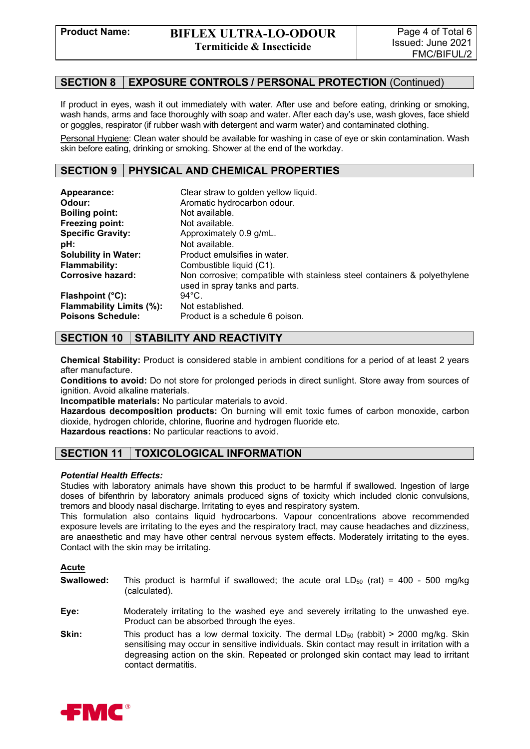#### **SECTION 8 EXPOSURE CONTROLS / PERSONAL PROTECTION** (Continued)

If product in eyes, wash it out immediately with water. After use and before eating, drinking or smoking, wash hands, arms and face thoroughly with soap and water. After each day's use, wash gloves, face shield or goggles, respirator (if rubber wash with detergent and warm water) and contaminated clothing.

Personal Hygiene: Clean water should be available for washing in case of eye or skin contamination. Wash skin before eating, drinking or smoking. Shower at the end of the workday.

### **SECTION 9 PHYSICAL AND CHEMICAL PROPERTIES**

| Appearance:<br>Odour:           | Clear straw to golden yellow liquid.<br>Aromatic hydrocarbon odour.                                        |
|---------------------------------|------------------------------------------------------------------------------------------------------------|
| <b>Boiling point:</b>           | Not available.                                                                                             |
| Freezing point:                 | Not available.                                                                                             |
| <b>Specific Gravity:</b>        | Approximately 0.9 g/mL.                                                                                    |
| pH:                             | Not available.                                                                                             |
| <b>Solubility in Water:</b>     | Product emulsifies in water.                                                                               |
| <b>Flammability:</b>            | Combustible liquid (C1).                                                                                   |
| <b>Corrosive hazard:</b>        | Non corrosive; compatible with stainless steel containers & polyethylene<br>used in spray tanks and parts. |
| Flashpoint (°C):                | $94^{\circ}$ C.                                                                                            |
| <b>Flammability Limits (%):</b> | Not established.                                                                                           |
| <b>Poisons Schedule:</b>        | Product is a schedule 6 poison.                                                                            |

# **SECTION 10 STABILITY AND REACTIVITY**

**Chemical Stability:** Product is considered stable in ambient conditions for a period of at least 2 years after manufacture.

**Conditions to avoid:** Do not store for prolonged periods in direct sunlight. Store away from sources of ignition. Avoid alkaline materials.

**Incompatible materials:** No particular materials to avoid.

**Hazardous decomposition products:** On burning will emit toxic fumes of carbon monoxide, carbon dioxide, hydrogen chloride, chlorine, fluorine and hydrogen fluoride etc.

**Hazardous reactions:** No particular reactions to avoid.

# **SECTION 11 TOXICOLOGICAL INFORMATION**

#### *Potential Health Effects:*

Studies with laboratory animals have shown this product to be harmful if swallowed. Ingestion of large doses of bifenthrin by laboratory animals produced signs of toxicity which included clonic convulsions, tremors and bloody nasal discharge. Irritating to eyes and respiratory system.

This formulation also contains liquid hydrocarbons. Vapour concentrations above recommended exposure levels are irritating to the eyes and the respiratory tract, may cause headaches and dizziness, are anaesthetic and may have other central nervous system effects. Moderately irritating to the eyes. Contact with the skin may be irritating.

#### **Acute**

- **Swallowed:** This product is harmful if swallowed; the acute oral LD<sub>50</sub> (rat) = 400 500 mg/kg (calculated).
- **Eye:** Moderately irritating to the washed eye and severely irritating to the unwashed eye. Product can be absorbed through the eyes.
- **Skin:** This product has a low dermal toxicity. The dermal LD<sub>50</sub> (rabbit) > 2000 mg/kg. Skin sensitising may occur in sensitive individuals. Skin contact may result in irritation with a degreasing action on the skin. Repeated or prolonged skin contact may lead to irritant contact dermatitis.

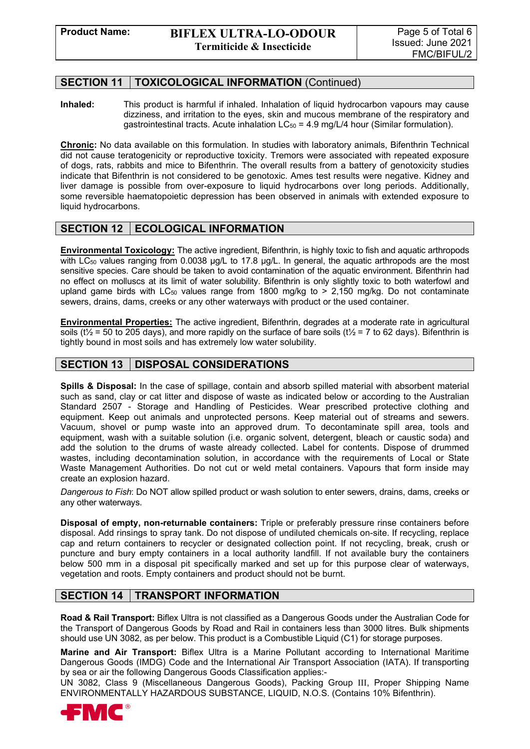### **SECTION 11 TOXICOLOGICAL INFORMATION** (Continued)

**Inhaled:** This product is harmful if inhaled. Inhalation of liquid hydrocarbon vapours may cause dizziness, and irritation to the eyes, skin and mucous membrane of the respiratory and gastrointestinal tracts. Acute inhalation  $LC_{50} = 4.9$  mg/L/4 hour (Similar formulation).

**Chronic:** No data available on this formulation. In studies with laboratory animals, Bifenthrin Technical did not cause teratogenicity or reproductive toxicity. Tremors were associated with repeated exposure of dogs, rats, rabbits and mice to Bifenthrin. The overall results from a battery of genotoxicity studies indicate that Bifenthrin is not considered to be genotoxic. Ames test results were negative. Kidney and liver damage is possible from over-exposure to liquid hydrocarbons over long periods. Additionally, some reversible haematopoietic depression has been observed in animals with extended exposure to liquid hydrocarbons.

#### **SECTION 12 ECOLOGICAL INFORMATION**

**Environmental Toxicology:** The active ingredient, Bifenthrin, is highly toxic to fish and aquatic arthropods with LC<sub>50</sub> values ranging from 0.0038 µg/L to 17.8 µg/L. In general, the aquatic arthropods are the most sensitive species. Care should be taken to avoid contamination of the aquatic environment. Bifenthrin had no effect on molluscs at its limit of water solubility. Bifenthrin is only slightly toxic to both waterfowl and upland game birds with  $LC_{50}$  values range from 1800 mg/kg to > 2,150 mg/kg. Do not contaminate sewers, drains, dams, creeks or any other waterways with product or the used container.

**Environmental Properties:** The active ingredient, Bifenthrin, degrades at a moderate rate in agricultural soils ( $t\frac{1}{2}$  = 50 to 205 days), and more rapidly on the surface of bare soils ( $t\frac{1}{2}$  = 7 to 62 days). Bifenthrin is tightly bound in most soils and has extremely low water solubility.

# **SECTION 13 DISPOSAL CONSIDERATIONS**

**Spills & Disposal:** In the case of spillage, contain and absorb spilled material with absorbent material such as sand, clay or cat litter and dispose of waste as indicated below or according to the Australian Standard 2507 - Storage and Handling of Pesticides. Wear prescribed protective clothing and equipment. Keep out animals and unprotected persons. Keep material out of streams and sewers. Vacuum, shovel or pump waste into an approved drum. To decontaminate spill area, tools and equipment, wash with a suitable solution (i.e. organic solvent, detergent, bleach or caustic soda) and add the solution to the drums of waste already collected. Label for contents. Dispose of drummed wastes, including decontamination solution, in accordance with the requirements of Local or State Waste Management Authorities. Do not cut or weld metal containers. Vapours that form inside may create an explosion hazard.

*Dangerous to Fish*: Do NOT allow spilled product or wash solution to enter sewers, drains, dams, creeks or any other waterways.

**Disposal of empty, non-returnable containers:** Triple or preferably pressure rinse containers before disposal. Add rinsings to spray tank. Do not dispose of undiluted chemicals on-site. If recycling, replace cap and return containers to recycler or designated collection point. If not recycling, break, crush or puncture and bury empty containers in a local authority landfill. If not available bury the containers below 500 mm in a disposal pit specifically marked and set up for this purpose clear of waterways, vegetation and roots. Empty containers and product should not be burnt.

#### **SECTION 14 TRANSPORT INFORMATION**

**Road & Rail Transport:** Biflex Ultra is not classified as a Dangerous Goods under the Australian Code for the Transport of Dangerous Goods by Road and Rail in containers less than 3000 litres. Bulk shipments should use UN 3082, as per below. This product is a Combustible Liquid (C1) for storage purposes.

**Marine and Air Transport:** Biflex Ultra is a Marine Pollutant according to International Maritime Dangerous Goods (IMDG) Code and the International Air Transport Association (IATA). If transporting by sea or air the following Dangerous Goods Classification applies:-

UN 3082, Class 9 (Miscellaneous Dangerous Goods), Packing Group III, Proper Shipping Name ENVIRONMENTALLY HAZARDOUS SUBSTANCE, LIQUID, N.O.S. (Contains 10% Bifenthrin).